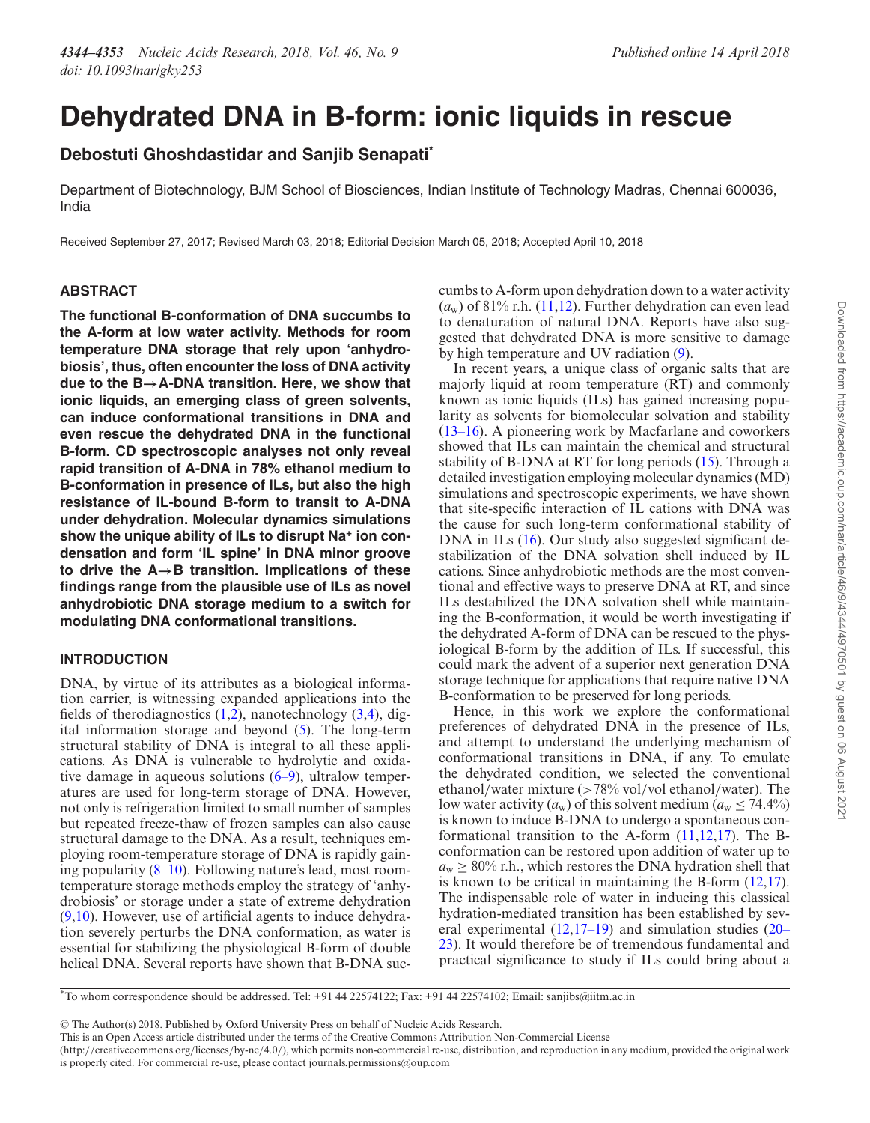# **Dehydrated DNA in B-form: ionic liquids in rescue**

## **Debostuti Ghoshdastidar and Sanjib Senapati\***

Department of Biotechnology, BJM School of Biosciences, Indian Institute of Technology Madras, Chennai 600036, India

Received September 27, 2017; Revised March 03, 2018; Editorial Decision March 05, 2018; Accepted April 10, 2018

## **ABSTRACT**

**The functional B-conformation of DNA succumbs to the A-form at low water activity. Methods for room temperature DNA storage that rely upon 'anhydrobiosis', thus, often encounter the loss of DNA activity due to the B**→**A-DNA transition. Here, we show that ionic liquids, an emerging class of green solvents, can induce conformational transitions in DNA and even rescue the dehydrated DNA in the functional B-form. CD spectroscopic analyses not only reveal rapid transition of A-DNA in 78% ethanol medium to B-conformation in presence of ILs, but also the high resistance of IL-bound B-form to transit to A-DNA under dehydration. Molecular dynamics simulations show the unique ability of ILs to disrupt Na<sup>+</sup> ion condensation and form 'IL spine' in DNA minor groove to drive the A**→**B transition. Implications of these findings range from the plausible use of ILs as novel anhydrobiotic DNA storage medium to a switch for modulating DNA conformational transitions.**

## **INTRODUCTION**

DNA, by virtue of its attributes as a biological information carrier, is witnessing expanded applications into the fields of therodiagnostics  $(1,2)$ , nanotechnology  $(3,4)$ , digital information storage and beyond (5). The long-term structural stability of DNA is integral to all these applications. As DNA is vulnerable to hydrolytic and oxidative damage in aqueous solutions  $(6-9)$ , ultralow temperatures are used for long-term storage of DNA. However, not only is refrigeration limited to small number of samples but repeated freeze-thaw of frozen samples can also cause structural damage to the DNA. As a result, techniques employing room-temperature storage of DNA is rapidly gaining popularity (8–10). Following nature's lead, most roomtemperature storage methods employ the strategy of 'anhydrobiosis' or storage under a state of extreme dehydration (9,10). However, use of artificial agents to induce dehydration severely perturbs the DNA conformation, as water is essential for stabilizing the physiological B-form of double helical DNA. Several reports have shown that B-DNA succumbs to A-form upon dehydration down to a water activity  $(a<sub>w</sub>)$  of 81% r.h. (11,12). Further dehydration can even lead to denaturation of natural DNA. Reports have also suggested that dehydrated DNA is more sensitive to damage by high temperature and UV radiation (9).

In recent years, a unique class of organic salts that are majorly liquid at room temperature (RT) and commonly known as ionic liquids (ILs) has gained increasing popularity as solvents for biomolecular solvation and stability (13–16). A pioneering work by Macfarlane and coworkers showed that ILs can maintain the chemical and structural stability of B-DNA at RT for long periods (15). Through a detailed investigation employing molecular dynamics (MD) simulations and spectroscopic experiments, we have shown that site-specific interaction of IL cations with DNA was the cause for such long-term conformational stability of DNA in ILs (16). Our study also suggested significant destabilization of the DNA solvation shell induced by IL cations. Since anhydrobiotic methods are the most conventional and effective ways to preserve DNA at RT, and since ILs destabilized the DNA solvation shell while maintaining the B-conformation, it would be worth investigating if the dehydrated A-form of DNA can be rescued to the physiological B-form by the addition of ILs. If successful, this could mark the advent of a superior next generation DNA storage technique for applications that require native DNA B-conformation to be preserved for long periods.

Hence, in this work we explore the conformational preferences of dehydrated DNA in the presence of ILs, and attempt to understand the underlying mechanism of conformational transitions in DNA, if any. To emulate the dehydrated condition, we selected the conventional ethanol/water mixture (>78% vol/vol ethanol/water). The low water activity  $(a_w)$  of this solvent medium  $(a_w \le 74.4\%)$ is known to induce B-DNA to undergo a spontaneous conformational transition to the A-form  $(11,12,17)$ . The Bconformation can be restored upon addition of water up to  $a_w \geq 80\%$  r.h., which restores the DNA hydration shell that is known to be critical in maintaining the B-form  $(12,17)$ . The indispensable role of water in inducing this classical hydration-mediated transition has been established by several experimental (12,17–19) and simulation studies (20– 23). It would therefore be of tremendous fundamental and practical significance to study if ILs could bring about a

\*To whom correspondence should be addressed. Tel: +91 44 22574122; Fax: +91 44 22574102; Email: sanjibs@iitm.ac.in

<sup>C</sup> The Author(s) 2018. Published by Oxford University Press on behalf of Nucleic Acids Research.

This is an Open Access article distributed under the terms of the Creative Commons Attribution Non-Commercial License

<sup>(</sup>http://creativecommons.org/licenses/by-nc/4.0/), which permits non-commercial re-use, distribution, and reproduction in any medium, provided the original work is properly cited. For commercial re-use, please contact journals.permissions@oup.com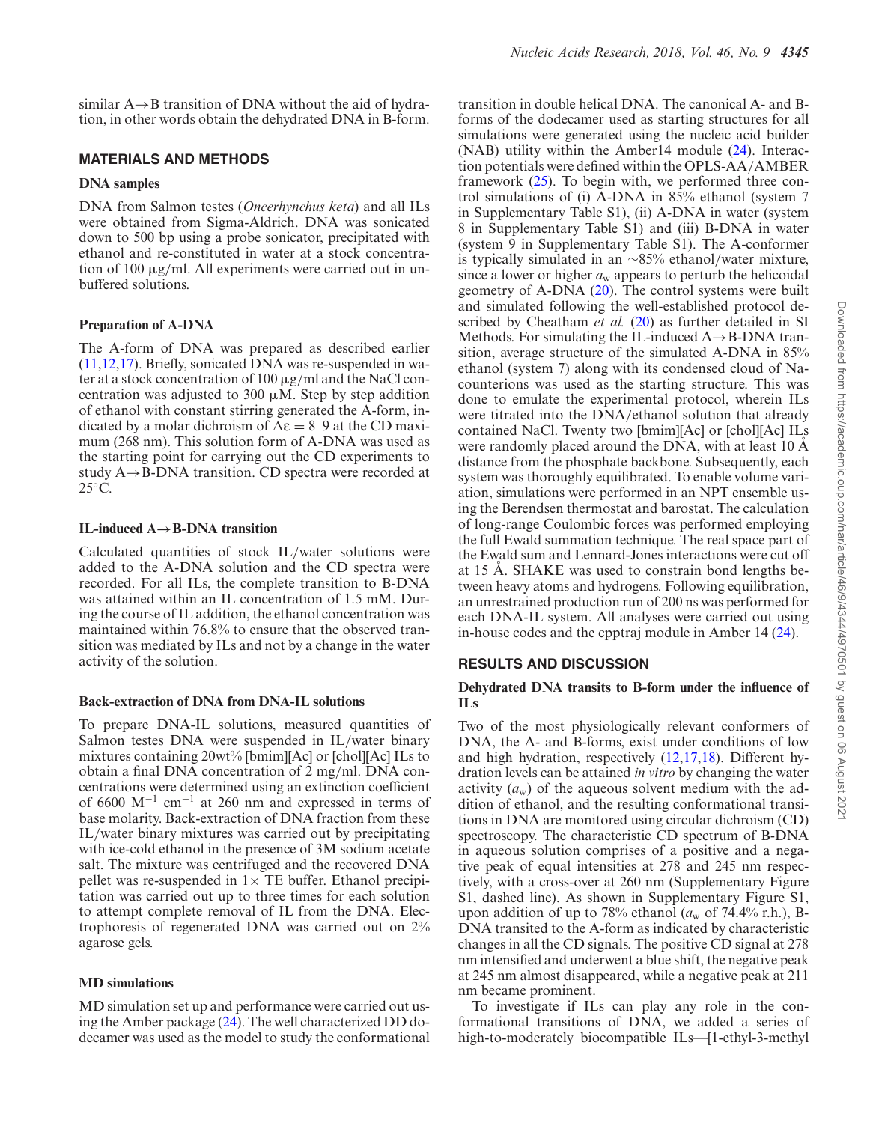similar  $A \rightarrow B$  transition of DNA without the aid of hydration, in other words obtain the dehydrated DNA in B-form.

## **MATERIALS AND METHODS**

## **DNA samples**

DNA from Salmon testes (*Oncerhynchus keta*) and all ILs were obtained from Sigma-Aldrich. DNA was sonicated down to 500 bp using a probe sonicator, precipitated with ethanol and re-constituted in water at a stock concentration of 100  $\mu$ g/ml. All experiments were carried out in unbuffered solutions.

## **Preparation of A-DNA**

The A-form of DNA was prepared as described earlier (11,12,17). Briefly, sonicated DNA was re-suspended in water at a stock concentration of  $100 \mu$ g/ml and the NaCl concentration was adjusted to 300  $\mu$ M. Step by step addition of ethanol with constant stirring generated the A-form, indicated by a molar dichroism of  $\Delta \epsilon = 8-9$  at the CD maximum (268 nm). This solution form of A-DNA was used as the starting point for carrying out the CD experiments to study A→B-DNA transition. CD spectra were recorded at 25◦C.

#### **IL-induced A**→**B-DNA transition**

Calculated quantities of stock IL/water solutions were added to the A-DNA solution and the CD spectra were recorded. For all ILs, the complete transition to B-DNA was attained within an IL concentration of 1.5 mM. During the course of IL addition, the ethanol concentration was maintained within 76.8% to ensure that the observed transition was mediated by ILs and not by a change in the water activity of the solution.

#### **Back-extraction of DNA from DNA-IL solutions**

To prepare DNA-IL solutions, measured quantities of Salmon testes DNA were suspended in IL/water binary mixtures containing 20wt% [bmim][Ac] or [chol][Ac] ILs to obtain a final DNA concentration of 2 mg/ml. DNA concentrations were determined using an extinction coefficient of 6600 M<sup>−</sup><sup>1</sup> cm<sup>−</sup><sup>1</sup> at 260 nm and expressed in terms of base molarity. Back-extraction of DNA fraction from these IL/water binary mixtures was carried out by precipitating with ice-cold ethanol in the presence of 3M sodium acetate salt. The mixture was centrifuged and the recovered DNA pellet was re-suspended in  $1 \times$  TE buffer. Ethanol precipitation was carried out up to three times for each solution to attempt complete removal of IL from the DNA. Electrophoresis of regenerated DNA was carried out on 2% agarose gels.

#### **MD simulations**

MD simulation set up and performance were carried out using the Amber package (24). The well characterized DD dodecamer was used as the model to study the conformational transition in double helical DNA. The canonical A- and Bforms of the dodecamer used as starting structures for all simulations were generated using the nucleic acid builder (NAB) utility within the Amber14 module (24). Interaction potentials were defined within the OPLS-AA/AMBER framework (25). To begin with, we performed three control simulations of (i) A-DNA in 85% ethanol (system 7 in Supplementary Table S1), (ii) A-DNA in water (system 8 in Supplementary Table S1) and (iii) B-DNA in water (system 9 in Supplementary Table S1). The A-conformer is typically simulated in an ∼85% ethanol/water mixture, since a lower or higher *a*<sup>w</sup> appears to perturb the helicoidal geometry of A-DNA (20). The control systems were built and simulated following the well-established protocol described by Cheatham *et al.* (20) as further detailed in SI Methods. For simulating the IL-induced  $A \rightarrow B-DNA$  transition, average structure of the simulated A-DNA in 85% ethanol (system 7) along with its condensed cloud of Nacounterions was used as the starting structure. This was done to emulate the experimental protocol, wherein ILs were titrated into the DNA/ethanol solution that already contained NaCl. Twenty two [bmim][Ac] or [chol][Ac] ILs were randomly placed around the DNA, with at least  $10 \text{ Å}$ distance from the phosphate backbone. Subsequently, each system was thoroughly equilibrated. To enable volume variation, simulations were performed in an NPT ensemble using the Berendsen thermostat and barostat. The calculation of long-range Coulombic forces was performed employing the full Ewald summation technique. The real space part of the Ewald sum and Lennard-Jones interactions were cut off at 15  $\AA$ . SHAKE was used to constrain bond lengths between heavy atoms and hydrogens. Following equilibration, an unrestrained production run of 200 ns was performed for each DNA-IL system. All analyses were carried out using in-house codes and the cpptraj module in Amber 14 (24).

#### **RESULTS AND DISCUSSION**

#### **Dehydrated DNA transits to B-form under the influence of ILs**

Two of the most physiologically relevant conformers of DNA, the A- and B-forms, exist under conditions of low and high hydration, respectively (12,17,18). Different hydration levels can be attained *in vitro* by changing the water activity  $(a_w)$  of the aqueous solvent medium with the addition of ethanol, and the resulting conformational transitions in DNA are monitored using circular dichroism (CD) spectroscopy. The characteristic CD spectrum of B-DNA in aqueous solution comprises of a positive and a negative peak of equal intensities at 278 and 245 nm respectively, with a cross-over at 260 nm (Supplementary Figure S1, dashed line). As shown in Supplementary Figure S1, upon addition of up to 78% ethanol (*a*<sup>w</sup> of 74.4% r.h.), B-DNA transited to the A-form as indicated by characteristic changes in all the CD signals. The positive CD signal at 278 nm intensified and underwent a blue shift, the negative peak at 245 nm almost disappeared, while a negative peak at 211 nm became prominent.

To investigate if ILs can play any role in the conformational transitions of DNA, we added a series of high-to-moderately biocompatible ILs––[1-ethyl-3-methyl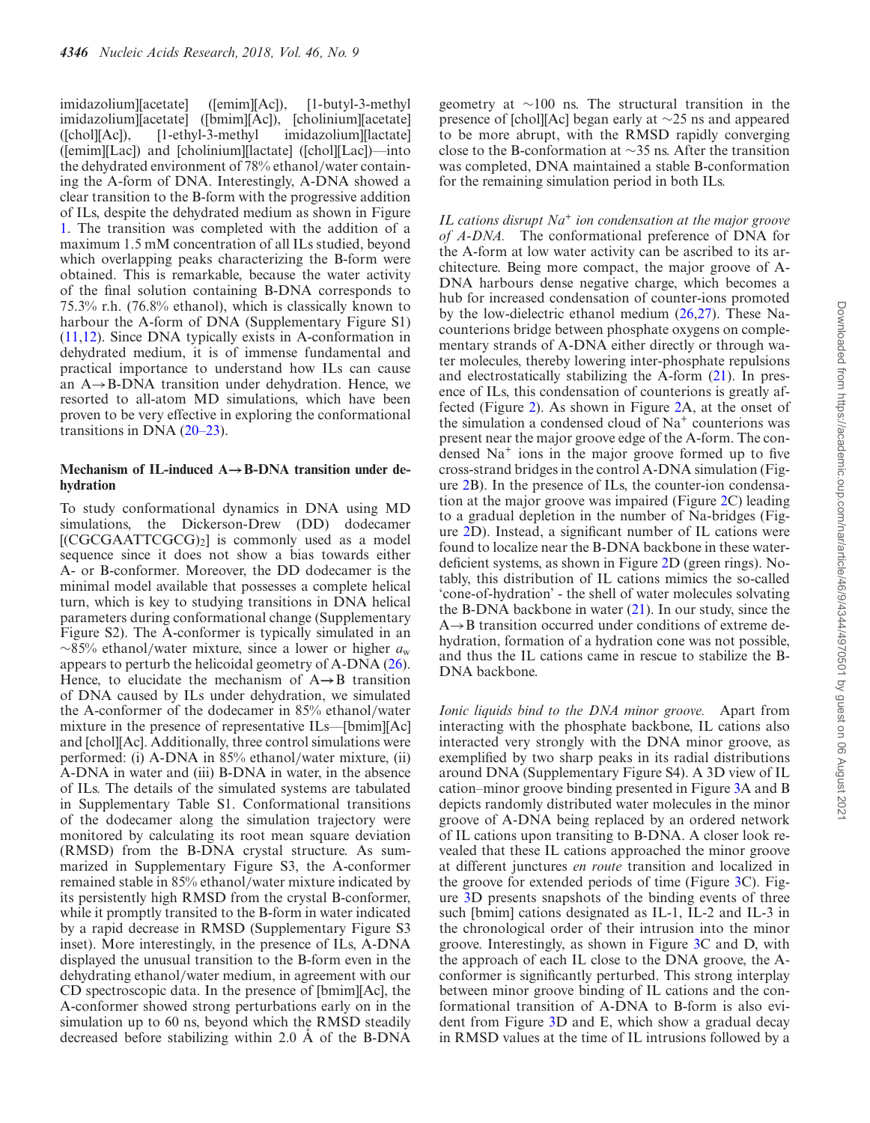imidazolium][acetate] ([emim][Ac]), [1-butyl-3-methyl imidazolium][acetate] ([bmim][Ac]), [cholinium][acetate] ([chol][Ac]), [1-ethyl-3-methyl imidazolium][lactate] ([emim][Lac]) and [cholinium][lactate] ([chol][Lac])––into the dehydrated environment of 78% ethanol/water containing the A-form of DNA. Interestingly, A-DNA showed a clear transition to the B-form with the progressive addition of ILs, despite the dehydrated medium as shown in Figure 1. The transition was completed with the addition of a maximum 1.5 mM concentration of all ILs studied, beyond which overlapping peaks characterizing the B-form were obtained. This is remarkable, because the water activity of the final solution containing B-DNA corresponds to 75.3% r.h. (76.8% ethanol), which is classically known to harbour the A-form of DNA (Supplementary Figure S1) (11,12). Since DNA typically exists in A-conformation in dehydrated medium, it is of immense fundamental and practical importance to understand how ILs can cause an A→B-DNA transition under dehydration. Hence, we resorted to all-atom MD simulations, which have been proven to be very effective in exploring the conformational transitions in DNA (20–23).

#### **Mechanism of IL-induced A**→**B-DNA transition under dehydration**

To study conformational dynamics in DNA using MD simulations, the Dickerson-Drew (DD) dodecamer  $[ (CGCGAATTCGCG)<sub>2</sub> ]$  is commonly used as a model sequence since it does not show a bias towards either A- or B-conformer. Moreover, the DD dodecamer is the minimal model available that possesses a complete helical turn, which is key to studying transitions in DNA helical parameters during conformational change (Supplementary Figure S2). The A-conformer is typically simulated in an ∼85% ethanol/water mixture, since a lower or higher *a*<sup>w</sup> appears to perturb the helicoidal geometry of A-DNA (26). Hence, to elucidate the mechanism of  $A \rightarrow B$  transition of DNA caused by ILs under dehydration, we simulated the A-conformer of the dodecamer in 85% ethanol/water mixture in the presence of representative ILs––[bmim][Ac] and [chol][Ac]. Additionally, three control simulations were performed: (i) A-DNA in 85% ethanol/water mixture, (ii) A-DNA in water and (iii) B-DNA in water, in the absence of ILs. The details of the simulated systems are tabulated in Supplementary Table S1. Conformational transitions of the dodecamer along the simulation trajectory were monitored by calculating its root mean square deviation (RMSD) from the B-DNA crystal structure. As summarized in Supplementary Figure S3, the A-conformer remained stable in 85% ethanol/water mixture indicated by its persistently high RMSD from the crystal B-conformer, while it promptly transited to the B-form in water indicated by a rapid decrease in RMSD (Supplementary Figure S3 inset). More interestingly, in the presence of ILs, A-DNA displayed the unusual transition to the B-form even in the dehydrating ethanol/water medium, in agreement with our CD spectroscopic data. In the presence of [bmim][Ac], the A-conformer showed strong perturbations early on in the simulation up to 60 ns, beyond which the RMSD steadily decreased before stabilizing within 2.0  $\AA$  of the B-DNA

geometry at ∼100 ns. The structural transition in the presence of [chol][Ac] began early at ∼25 ns and appeared to be more abrupt, with the RMSD rapidly converging close to the B-conformation at ∼35 ns. After the transition was completed, DNA maintained a stable B-conformation for the remaining simulation period in both ILs.

*IL cations disrupt Na<sup>+</sup> ion condensation at the major groove of A-DNA.* The conformational preference of DNA for the A-form at low water activity can be ascribed to its architecture. Being more compact, the major groove of A-DNA harbours dense negative charge, which becomes a hub for increased condensation of counter-ions promoted by the low-dielectric ethanol medium (26,27). These Nacounterions bridge between phosphate oxygens on complementary strands of A-DNA either directly or through water molecules, thereby lowering inter-phosphate repulsions and electrostatically stabilizing the A-form (21). In presence of ILs, this condensation of counterions is greatly affected (Figure 2). As shown in Figure 2A, at the onset of the simulation a condensed cloud of Na<sup>+</sup> counterions was present near the major groove edge of the A-form. The condensed Na<sup>+</sup> ions in the major groove formed up to five cross-strand bridges in the control A-DNA simulation (Figure 2B). In the presence of ILs, the counter-ion condensation at the major groove was impaired (Figure 2C) leading to a gradual depletion in the number of Na-bridges (Figure 2D). Instead, a significant number of IL cations were found to localize near the B-DNA backbone in these waterdeficient systems, as shown in Figure 2D (green rings). Notably, this distribution of IL cations mimics the so-called 'cone-of-hydration' - the shell of water molecules solvating the B-DNA backbone in water (21). In our study, since the A→B transition occurred under conditions of extreme dehydration, formation of a hydration cone was not possible, and thus the IL cations came in rescue to stabilize the B-DNA backbone.

*Ionic liquids bind to the DNA minor groove.* Apart from interacting with the phosphate backbone, IL cations also interacted very strongly with the DNA minor groove, as exemplified by two sharp peaks in its radial distributions around DNA (Supplementary Figure S4). A 3D view of IL cation–minor groove binding presented in Figure 3A and B depicts randomly distributed water molecules in the minor groove of A-DNA being replaced by an ordered network of IL cations upon transiting to B-DNA. A closer look revealed that these IL cations approached the minor groove at different junctures *en route* transition and localized in the groove for extended periods of time (Figure 3C). Figure 3D presents snapshots of the binding events of three such [bmim] cations designated as IL-1, IL-2 and IL-3 in the chronological order of their intrusion into the minor groove. Interestingly, as shown in Figure 3C and D, with the approach of each IL close to the DNA groove, the Aconformer is significantly perturbed. This strong interplay between minor groove binding of IL cations and the conformational transition of A-DNA to B-form is also evident from Figure 3D and E, which show a gradual decay in RMSD values at the time of IL intrusions followed by a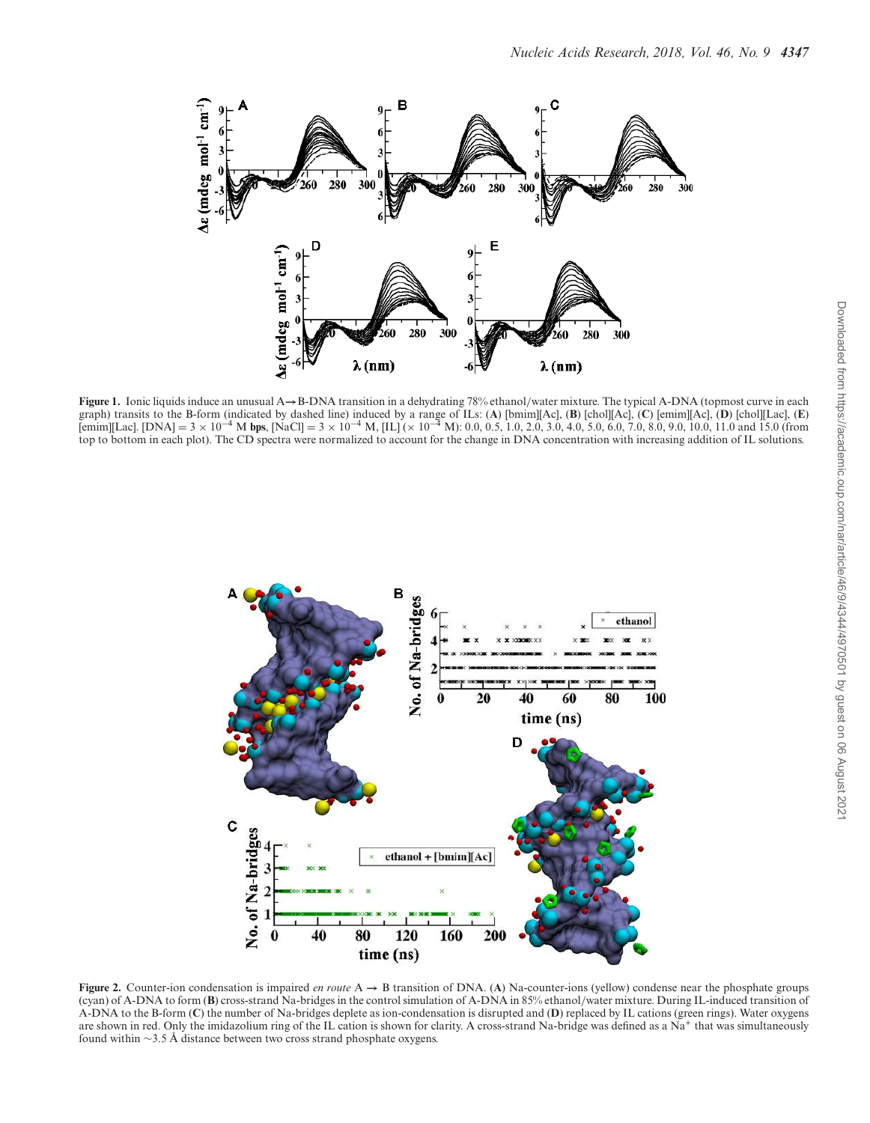

**Figure 1.** Ionic liquids induce an unusual A→B-DNA transition in a dehydrating 78% ethanol/water mixture. The typical A-DNA (topmost curve in each graph) transits to the B-form (indicated by dashed line) induced by a range of ILs: (A) [bmim][Ac], (B) [chol][Ac], (C) [emim][Ac], (D) [chol][Lac], (E)<br>[emim][Lac]. [DNA] =  $3 \times 10^{-4}$  M bps, [NaCl] =  $3 \times 10^{-4}$  M, [IL] top to bottom in each plot). The CD spectra were normalized to account for the change in DNA concentration with increasing addition of IL solutions.



**Figure 2.** Counter-ion condensation is impaired *en route*  $A \rightarrow B$  transition of DNA. (A) Na-counter-ions (yellow) condense near the phosphate groups (cyan) of A-DNA to form (**B**) cross-strand Na-bridges in the control simulation of A-DNA in 85% ethanol/water mixture. During IL-induced transition of A-DNA to the B-form (**C**) the number of Na-bridges deplete as ion-condensation is disrupted and (**D**) replaced by IL cations (green rings). Water oxygens are shown in red. Only the imidazolium ring of the IL cation is shown for clarity. A cross-strand Na-bridge was defined as a  $Na<sup>+</sup>$  that was simultaneously found within ∼3.5 Å distance between two cross strand phosphate oxygens.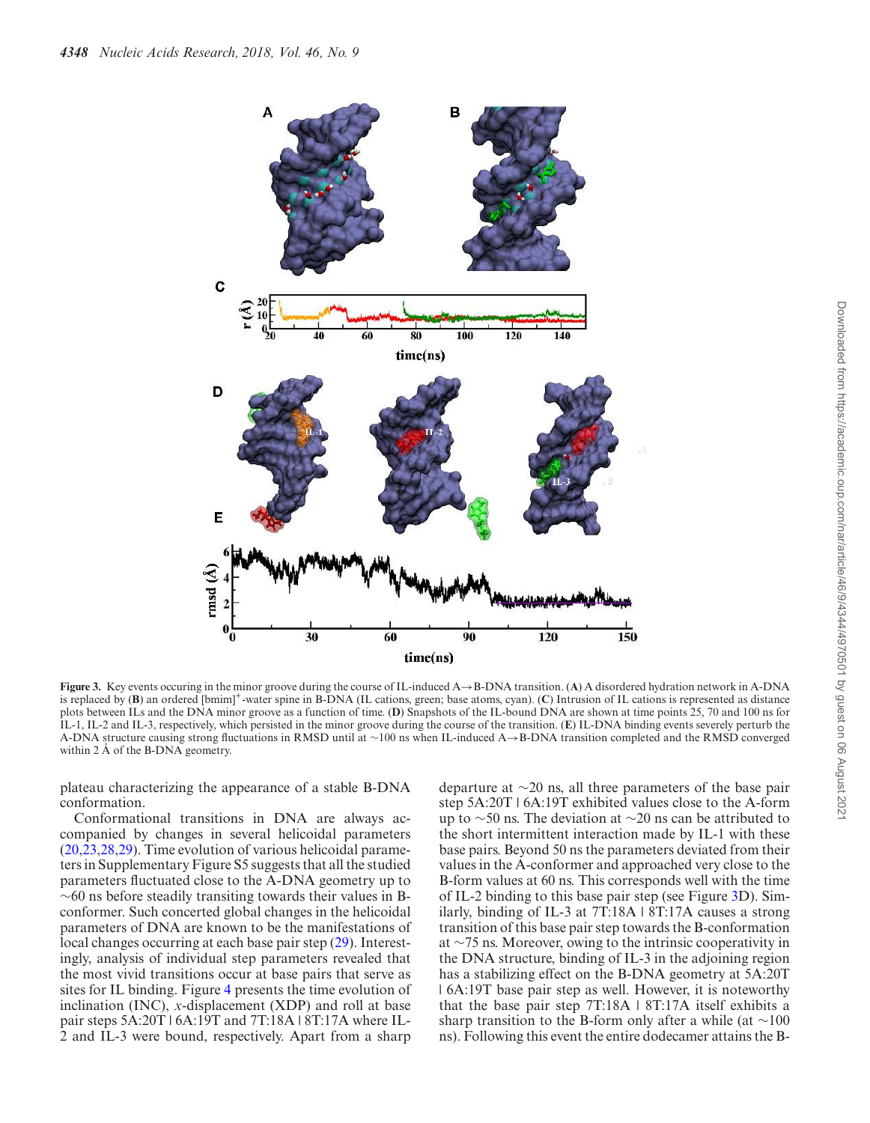

**Figure 3.** Key events occuring in the minor groove during the course of IL-induced A→B-DNA transition. (**A**) A disordered hydration network in A-DNA is replaced by (**B**) an ordered [bmim]+-water spine in B-DNA (IL cations, green; base atoms, cyan). (**C**) Intrusion of IL cations is represented as distance plots between ILs and the DNA minor groove as a function of time. (**D**) Snapshots of the IL-bound DNA are shown at time points 25, 70 and 100 ns for IL-1, IL-2 and IL-3, respectively, which persisted in the minor groove during the course of the transition. (**E**) IL-DNA binding events severely perturb the A-DNA structure causing strong fluctuations in RMSD until at ∼100 ns when IL-induced A→B-DNA transition completed and the RMSD converged within  $2 \text{ Å}$  of the B-DNA geometry.

plateau characterizing the appearance of a stable B-DNA conformation.

Conformational transitions in DNA are always accompanied by changes in several helicoidal parameters (20,23,28,29). Time evolution of various helicoidal parameters in Supplementary Figure S5 suggests that all the studied parameters fluctuated close to the A-DNA geometry up to ∼60 ns before steadily transiting towards their values in Bconformer. Such concerted global changes in the helicoidal parameters of DNA are known to be the manifestations of local changes occurring at each base pair step (29). Interestingly, analysis of individual step parameters revealed that the most vivid transitions occur at base pairs that serve as sites for IL binding. Figure 4 presents the time evolution of inclination (INC), *x*-displacement (XDP) and roll at base pair steps 5A:20T | 6A:19T and 7T:18A | 8T:17A where IL-2 and IL-3 were bound, respectively. Apart from a sharp

departure at ∼20 ns, all three parameters of the base pair step 5A:20T | 6A:19T exhibited values close to the A-form up to ∼50 ns. The deviation at ∼20 ns can be attributed to the short intermittent interaction made by IL-1 with these base pairs. Beyond 50 ns the parameters deviated from their values in the A-conformer and approached very close to the B-form values at 60 ns. This corresponds well with the time of IL-2 binding to this base pair step (see Figure 3D). Similarly, binding of IL-3 at 7T:18A | 8T:17A causes a strong transition of this base pair step towards the B-conformation at ∼75 ns. Moreover, owing to the intrinsic cooperativity in the DNA structure, binding of IL-3 in the adjoining region has a stabilizing effect on the B-DNA geometry at 5A:20T | 6A:19T base pair step as well. However, it is noteworthy that the base pair step 7T:18A | 8T:17A itself exhibits a sharp transition to the B-form only after a while (at ∼100 ns). Following this event the entire dodecamer attains the B-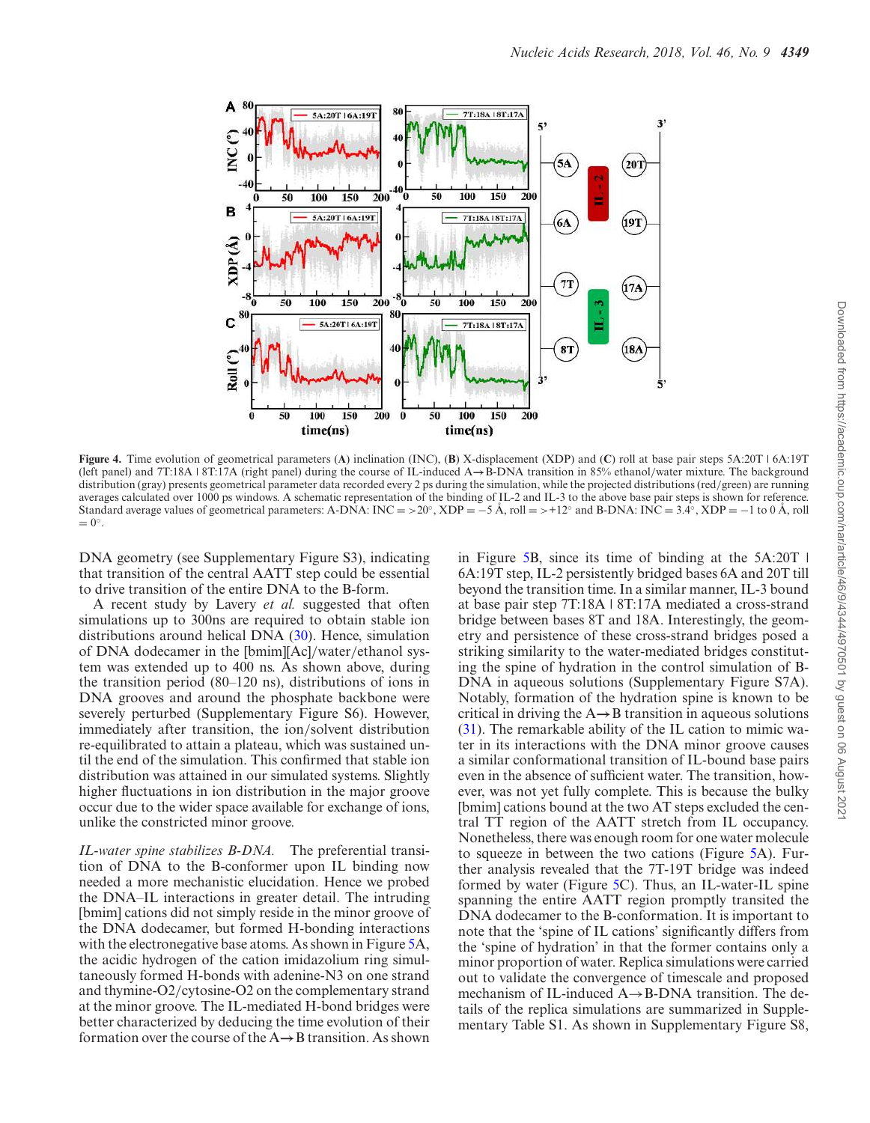

**Figure 4.** Time evolution of geometrical parameters (**A**) inclination (INC), (**B**) X-displacement (XDP) and (**C**) roll at base pair steps 5A:20T | 6A:19T (left panel) and 7T:18A | 8T:17A (right panel) during the course of IL-induced A→B-DNA transition in 85% ethanol/water mixture. The background distribution (gray) presents geometrical parameter data recorded every 2 ps during the simulation, while the projected distributions (red/green) are running averages calculated over 1000 ps windows. A schematic representation of the binding of IL-2 and IL-3 to the above base pair steps is shown for reference. Standard average values of geometrical parameters: A-DNA: INC = >20°, XDP = -5 Å, roll = >+12° and B-DNA: INC = 3.4°, XDP = -1 to 0 Å, roll  $= 0^\circ.$ 

DNA geometry (see Supplementary Figure S3), indicating that transition of the central AATT step could be essential to drive transition of the entire DNA to the B-form.

A recent study by Lavery *et al.* suggested that often simulations up to 300ns are required to obtain stable ion distributions around helical DNA (30). Hence, simulation of DNA dodecamer in the [bmim][Ac]/water/ethanol system was extended up to 400 ns. As shown above, during the transition period (80–120 ns), distributions of ions in DNA grooves and around the phosphate backbone were severely perturbed (Supplementary Figure S6). However, immediately after transition, the ion/solvent distribution re-equilibrated to attain a plateau, which was sustained until the end of the simulation. This confirmed that stable ion distribution was attained in our simulated systems. Slightly higher fluctuations in ion distribution in the major groove occur due to the wider space available for exchange of ions, unlike the constricted minor groove.

*IL-water spine stabilizes B-DNA.* The preferential transition of DNA to the B-conformer upon IL binding now needed a more mechanistic elucidation. Hence we probed the DNA–IL interactions in greater detail. The intruding [bmim] cations did not simply reside in the minor groove of the DNA dodecamer, but formed H-bonding interactions with the electronegative base atoms. As shown in Figure 5A, the acidic hydrogen of the cation imidazolium ring simultaneously formed H-bonds with adenine-N3 on one strand and thymine-O2/cytosine-O2 on the complementary strand at the minor groove. The IL-mediated H-bond bridges were better characterized by deducing the time evolution of their formation over the course of the  $A \rightarrow B$  transition. As shown in Figure  $5B$ , since its time of binding at the  $5A:20T$  | 6A:19T step, IL-2 persistently bridged bases 6A and 20T till beyond the transition time. In a similar manner, IL-3 bound at base pair step 7T:18A | 8T:17A mediated a cross-strand bridge between bases 8T and 18A. Interestingly, the geometry and persistence of these cross-strand bridges posed a striking similarity to the water-mediated bridges constituting the spine of hydration in the control simulation of B-DNA in aqueous solutions (Supplementary Figure S7A). Notably, formation of the hydration spine is known to be critical in driving the  $A \rightarrow B$  transition in aqueous solutions (31). The remarkable ability of the IL cation to mimic water in its interactions with the DNA minor groove causes a similar conformational transition of IL-bound base pairs even in the absence of sufficient water. The transition, however, was not yet fully complete. This is because the bulky [bmim] cations bound at the two AT steps excluded the central TT region of the AATT stretch from IL occupancy. Nonetheless, there was enough room for one water molecule to squeeze in between the two cations (Figure 5A). Further analysis revealed that the 7T-19T bridge was indeed formed by water (Figure 5C). Thus, an IL-water-IL spine spanning the entire AATT region promptly transited the DNA dodecamer to the B-conformation. It is important to note that the 'spine of IL cations' significantly differs from the 'spine of hydration' in that the former contains only a minor proportion of water. Replica simulations were carried out to validate the convergence of timescale and proposed mechanism of IL-induced  $A \rightarrow B$ -DNA transition. The details of the replica simulations are summarized in Supplementary Table S1. As shown in Supplementary Figure S8,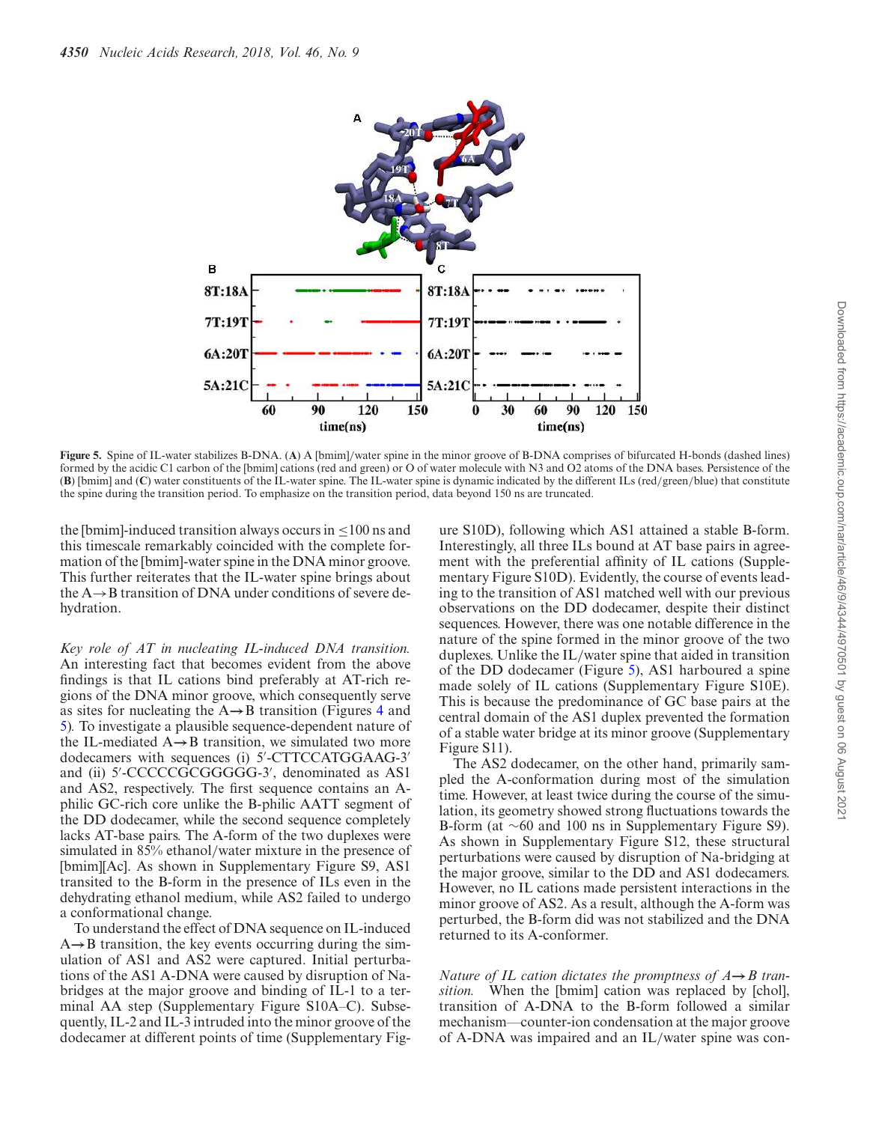

**Figure 5.** Spine of IL-water stabilizes B-DNA. (**A**) A [bmim]/water spine in the minor groove of B-DNA comprises of bifurcated H-bonds (dashed lines) formed by the acidic C1 carbon of the [bmim] cations (red and green) or O of water molecule with N3 and O2 atoms of the DNA bases. Persistence of the (**B**) [bmim] and (**C**) water constituents of the IL-water spine. The IL-water spine is dynamic indicated by the different ILs (red/green/blue) that constitute the spine during the transition period. To emphasize on the transition period, data beyond 150 ns are truncated.

the [bmim]-induced transition always occurs in ≤100 ns and this timescale remarkably coincided with the complete formation of the [bmim]-water spine in the DNA minor groove. This further reiterates that the IL-water spine brings about the A→B transition of DNA under conditions of severe dehydration.

*Key role of AT in nucleating IL-induced DNA transition.* An interesting fact that becomes evident from the above findings is that IL cations bind preferably at AT-rich regions of the DNA minor groove, which consequently serve as sites for nucleating the  $A \rightarrow B$  transition (Figures 4 and 5)*.* To investigate a plausible sequence-dependent nature of the IL-mediated  $A \rightarrow B$  transition, we simulated two more dodecamers with sequences (i) 5′ -CTTCCATGGAAG-3′ and (ii) 5′ -CCCCCGCGGGGG-3′ , denominated as AS1 and AS2, respectively. The first sequence contains an Aphilic GC-rich core unlike the B-philic AATT segment of the DD dodecamer, while the second sequence completely lacks AT-base pairs. The A-form of the two duplexes were simulated in 85% ethanol/water mixture in the presence of [bmim][Ac]. As shown in Supplementary Figure S9, AS1 transited to the B-form in the presence of ILs even in the dehydrating ethanol medium, while AS2 failed to undergo a conformational change.

To understand the effect of DNA sequence on IL-induced  $A \rightarrow B$  transition, the key events occurring during the simulation of AS1 and AS2 were captured. Initial perturbations of the AS1 A-DNA were caused by disruption of Nabridges at the major groove and binding of IL-1 to a terminal AA step (Supplementary Figure S10A–C). Subsequently, IL-2 and IL-3 intruded into the minor groove of the dodecamer at different points of time (Supplementary Fig-

ure S10D), following which AS1 attained a stable B-form. Interestingly, all three ILs bound at AT base pairs in agreement with the preferential affinity of IL cations (Supplementary Figure S10D). Evidently, the course of events leading to the transition of AS1 matched well with our previous observations on the DD dodecamer, despite their distinct sequences. However, there was one notable difference in the nature of the spine formed in the minor groove of the two duplexes. Unlike the IL/water spine that aided in transition of the DD dodecamer (Figure 5), AS1 harboured a spine made solely of IL cations (Supplementary Figure S10E). This is because the predominance of GC base pairs at the central domain of the AS1 duplex prevented the formation of a stable water bridge at its minor groove (Supplementary Figure S11).

The AS2 dodecamer, on the other hand, primarily sampled the A-conformation during most of the simulation time. However, at least twice during the course of the simulation, its geometry showed strong fluctuations towards the B-form (at ∼60 and 100 ns in Supplementary Figure S9). As shown in Supplementary Figure S12, these structural perturbations were caused by disruption of Na-bridging at the major groove, similar to the DD and AS1 dodecamers. However, no IL cations made persistent interactions in the minor groove of AS2. As a result, although the A-form was perturbed, the B-form did was not stabilized and the DNA returned to its A-conformer.

*Nature of IL cation dictates the promptness of*  $A \rightarrow B$  *transition.* When the [bmim] cation was replaced by [chol], transition of A-DNA to the B-form followed a similar mechanism––counter-ion condensation at the major groove of A-DNA was impaired and an IL/water spine was con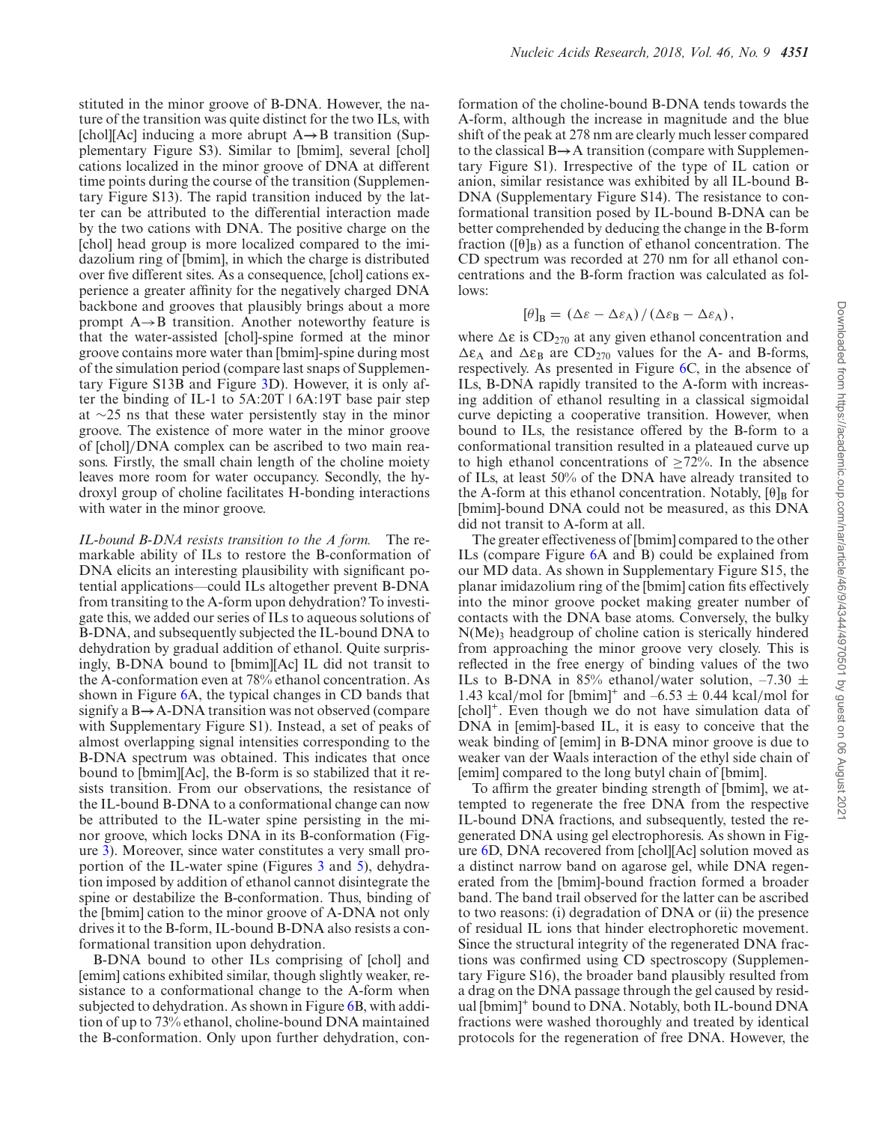stituted in the minor groove of B-DNA. However, the nature of the transition was quite distinct for the two ILs, with [chol][Ac] inducing a more abrupt  $A \rightarrow B$  transition (Supplementary Figure S3). Similar to [bmim], several [chol] cations localized in the minor groove of DNA at different time points during the course of the transition (Supplementary Figure S13). The rapid transition induced by the latter can be attributed to the differential interaction made by the two cations with DNA. The positive charge on the [chol] head group is more localized compared to the imidazolium ring of [bmim], in which the charge is distributed over five different sites. As a consequence, [chol] cations experience a greater affinity for the negatively charged DNA backbone and grooves that plausibly brings about a more prompt A→B transition. Another noteworthy feature is that the water-assisted [chol]-spine formed at the minor groove contains more water than [bmim]-spine during most of the simulation period (compare last snaps of Supplementary Figure S13B and Figure 3D). However, it is only after the binding of IL-1 to 5A:20T | 6A:19T base pair step at ∼25 ns that these water persistently stay in the minor groove. The existence of more water in the minor groove of [chol]/DNA complex can be ascribed to two main reasons. Firstly, the small chain length of the choline moiety leaves more room for water occupancy. Secondly, the hydroxyl group of choline facilitates H-bonding interactions with water in the minor groove.

*IL-bound B-DNA resists transition to the A form.* The remarkable ability of ILs to restore the B-conformation of DNA elicits an interesting plausibility with significant potential applications––could ILs altogether prevent B-DNA from transiting to the A-form upon dehydration? To investigate this, we added our series of ILs to aqueous solutions of B-DNA, and subsequently subjected the IL-bound DNA to dehydration by gradual addition of ethanol. Quite surprisingly, B-DNA bound to [bmim][Ac] IL did not transit to the A-conformation even at 78% ethanol concentration. As shown in Figure 6A, the typical changes in CD bands that signify a B→A-DNA transition was not observed (compare with Supplementary Figure S1). Instead, a set of peaks of almost overlapping signal intensities corresponding to the B-DNA spectrum was obtained. This indicates that once bound to [bmim][Ac], the B-form is so stabilized that it resists transition. From our observations, the resistance of the IL-bound B-DNA to a conformational change can now be attributed to the IL-water spine persisting in the minor groove, which locks DNA in its B-conformation (Figure 3). Moreover, since water constitutes a very small proportion of the IL-water spine (Figures 3 and 5), dehydration imposed by addition of ethanol cannot disintegrate the spine or destabilize the B-conformation. Thus, binding of the [bmim] cation to the minor groove of A-DNA not only drives it to the B-form, IL-bound B-DNA also resists a conformational transition upon dehydration.

B-DNA bound to other ILs comprising of [chol] and [emim] cations exhibited similar, though slightly weaker, resistance to a conformational change to the A-form when subjected to dehydration. As shown in Figure 6B, with addition of up to 73% ethanol, choline-bound DNA maintained the B-conformation. Only upon further dehydration, conformation of the choline-bound B-DNA tends towards the A-form, although the increase in magnitude and the blue shift of the peak at 278 nm are clearly much lesser compared to the classical B→A transition (compare with Supplementary Figure S1). Irrespective of the type of IL cation or anion, similar resistance was exhibited by all IL-bound B-DNA (Supplementary Figure S14). The resistance to conformational transition posed by IL-bound B-DNA can be better comprehended by deducing the change in the B-form fraction ( $[\theta]_B$ ) as a function of ethanol concentration. The CD spectrum was recorded at 270 nm for all ethanol concentrations and the B-form fraction was calculated as fol $l$ ows:

*Nucleic Acids Research, 2018, Vol. 46, No. 9* **4351**

$$
[\theta]_{B} = (\Delta \varepsilon - \Delta \varepsilon_{A}) / (\Delta \varepsilon_{B} - \Delta \varepsilon_{A}),
$$

where  $\Delta \varepsilon$  is  $CD_{270}$  at any given ethanol concentration and  $\Delta \varepsilon_A$  and  $\Delta \varepsilon_B$  are CD<sub>270</sub> values for the A- and B-forms, respectively. As presented in Figure 6C, in the absence of ILs, B-DNA rapidly transited to the A-form with increasing addition of ethanol resulting in a classical sigmoidal curve depicting a cooperative transition. However, when bound to ILs, the resistance offered by the B-form to a conformational transition resulted in a plateaued curve up to high ethanol concentrations of  $\geq 72\%$ . In the absence of ILs, at least 50% of the DNA have already transited to the A-form at this ethanol concentration. Notably,  $[\theta]_B$  for [bmim]-bound DNA could not be measured, as this DNA did not transit to A-form at all.

The greater effectiveness of [bmim] compared to the other ILs (compare Figure 6A and B) could be explained from our MD data. As shown in Supplementary Figure S15, the planar imidazolium ring of the [bmim] cation fits effectively into the minor groove pocket making greater number of contacts with the DNA base atoms. Conversely, the bulky N(Me)<sup>3</sup> headgroup of choline cation is sterically hindered from approaching the minor groove very closely. This is reflected in the free energy of binding values of the two ILs to B-DNA in 85% ethanol/water solution,  $-7.30 \pm 1$ 1.43 kcal/mol for [bmim]<sup>+</sup> and  $-6.53 \pm 0.44$  kcal/mol for [chol]<sup>+</sup> . Even though we do not have simulation data of DNA in [emim]-based IL, it is easy to conceive that the weak binding of [emim] in B-DNA minor groove is due to weaker van der Waals interaction of the ethyl side chain of [emim] compared to the long butyl chain of [bmim].

To affirm the greater binding strength of [bmim], we attempted to regenerate the free DNA from the respective IL-bound DNA fractions, and subsequently, tested the regenerated DNA using gel electrophoresis. As shown in Figure 6D, DNA recovered from [chol][Ac] solution moved as a distinct narrow band on agarose gel, while DNA regenerated from the [bmim]-bound fraction formed a broader band. The band trail observed for the latter can be ascribed to two reasons: (i) degradation of DNA or (ii) the presence of residual IL ions that hinder electrophoretic movement. Since the structural integrity of the regenerated DNA fractions was confirmed using CD spectroscopy (Supplementary Figure S16), the broader band plausibly resulted from a drag on the DNA passage through the gel caused by residual [bmim]<sup>+</sup> bound to DNA. Notably, both IL-bound DNA fractions were washed thoroughly and treated by identical protocols for the regeneration of free DNA. However, the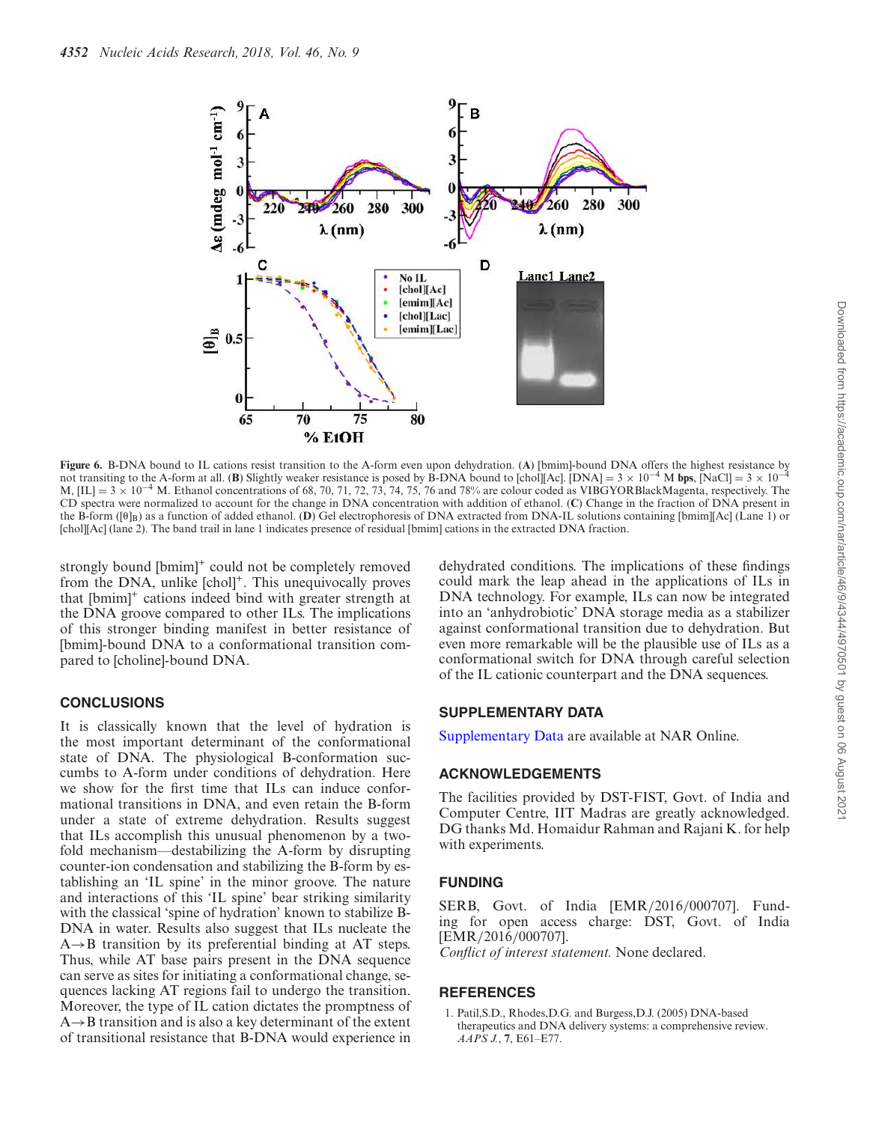

**Figure 6.** B-DNA bound to IL cations resist transition to the A-form even upon dehydration. (**A**) [bmim]-bound DNA offers the highest resistance by not transiting to the A-form at all. (**B**) Slightly weaker resistance is posed by B-DNA bound to [chol][Ac]. [DNA] =  $3 \times 10^{-4}$  M bps, [NaCl] =  $3 \times 10^{-4}$ M, [IL] = 3 × 10−<sup>4</sup> M. Ethanol concentrations of 68, 70, 71, 72, 73, 74, 75, 76 and 78% are colour coded as VIBGYORBlackMagenta, respectively. The CD spectra were normalized to account for the change in DNA concentration with addition of ethanol. (**C**) Change in the fraction of DNA present in the B-form  $(\theta|_B)$  as a function of added ethanol. **(D)** Gel electrophoresis of DNA extracted from DNA-IL solutions containing [bmim][Ac] (Lane 1) or [chol][Ac] (lane 2). The band trail in lane 1 indicates presence of residual [bmim] cations in the extracted DNA fraction.

strongly bound [bmim]<sup>+</sup> could not be completely removed from the DNA, unlike [chol]<sup>+</sup>. This unequivocally proves that [bmim]<sup>+</sup> cations indeed bind with greater strength at the DNA groove compared to other ILs. The implications of this stronger binding manifest in better resistance of [bmim]-bound DNA to a conformational transition compared to [choline]-bound DNA.

## **CONCLUSIONS**

It is classically known that the level of hydration is the most important determinant of the conformational state of DNA. The physiological B-conformation succumbs to A-form under conditions of dehydration. Here we show for the first time that ILs can induce conformational transitions in DNA, and even retain the B-form under a state of extreme dehydration. Results suggest that ILs accomplish this unusual phenomenon by a twofold mechanism––destabilizing the A-form by disrupting counter-ion condensation and stabilizing the B-form by establishing an 'IL spine' in the minor groove. The nature and interactions of this 'IL spine' bear striking similarity with the classical 'spine of hydration' known to stabilize B-DNA in water. Results also suggest that ILs nucleate the A→B transition by its preferential binding at AT steps. Thus, while AT base pairs present in the DNA sequence can serve as sites for initiating a conformational change, sequences lacking AT regions fail to undergo the transition. Moreover, the type of IL cation dictates the promptness of  $A \rightarrow B$  transition and is also a key determinant of the extent of transitional resistance that B-DNA would experience in dehydrated conditions. The implications of these findings could mark the leap ahead in the applications of ILs in DNA technology. For example, ILs can now be integrated into an 'anhydrobiotic' DNA storage media as a stabilizer against conformational transition due to dehydration. But even more remarkable will be the plausible use of ILs as a conformational switch for DNA through careful selection of the IL cationic counterpart and the DNA sequences.

#### **SUPPLEMENTARY DATA**

Supplementary Data are available at NAR Online.

## **ACKNOWLEDGEMENTS**

The facilities provided by DST-FIST, Govt. of India and Computer Centre, IIT Madras are greatly acknowledged. DG thanks Md. Homaidur Rahman and Rajani K. for help with experiments.

## **FUNDING**

SERB, Govt. of India [EMR/2016/000707]. Funding for open access charge: DST, Govt. of India [EMR/2016/000707]. *Conflict of interest statement.* None declared.

## **REFERENCES**

1. Patil,S.D., Rhodes,D.G. and Burgess,D.J. (2005) DNA-based therapeutics and DNA delivery systems: a comprehensive review. *AAPS J.*, **7**, E61–E77.